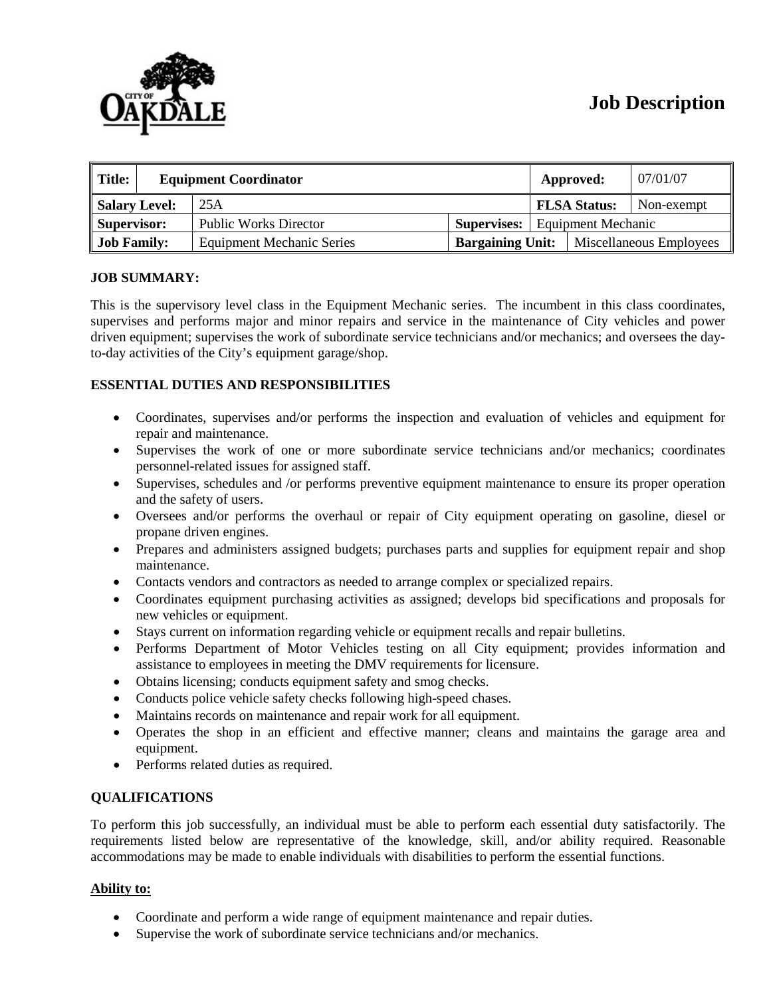# **Job Description**



| $\parallel$ Title:<br><b>Equipment Coordinator</b> |  |                                  | Approved:               | 07/01/07                  |                         |            |
|----------------------------------------------------|--|----------------------------------|-------------------------|---------------------------|-------------------------|------------|
| Salary Level:                                      |  | 25A                              |                         |                           | <b>FLSA Status:</b>     | Non-exempt |
| Supervisor:                                        |  | <b>Public Works Director</b>     | <b>Supervises:</b>      | <b>Equipment Mechanic</b> |                         |            |
| <b>Job Family:</b>                                 |  | <b>Equipment Mechanic Series</b> | <b>Bargaining Unit:</b> |                           | Miscellaneous Employees |            |

## **JOB SUMMARY:**

This is the supervisory level class in the Equipment Mechanic series. The incumbent in this class coordinates, supervises and performs major and minor repairs and service in the maintenance of City vehicles and power driven equipment; supervises the work of subordinate service technicians and/or mechanics; and oversees the dayto-day activities of the City's equipment garage/shop.

## **ESSENTIAL DUTIES AND RESPONSIBILITIES**

- Coordinates, supervises and/or performs the inspection and evaluation of vehicles and equipment for repair and maintenance.
- Supervises the work of one or more subordinate service technicians and/or mechanics; coordinates personnel-related issues for assigned staff.
- Supervises, schedules and /or performs preventive equipment maintenance to ensure its proper operation and the safety of users.
- Oversees and/or performs the overhaul or repair of City equipment operating on gasoline, diesel or propane driven engines.
- Prepares and administers assigned budgets; purchases parts and supplies for equipment repair and shop maintenance.
- Contacts vendors and contractors as needed to arrange complex or specialized repairs.
- Coordinates equipment purchasing activities as assigned; develops bid specifications and proposals for new vehicles or equipment.
- Stays current on information regarding vehicle or equipment recalls and repair bulletins.
- Performs Department of Motor Vehicles testing on all City equipment; provides information and assistance to employees in meeting the DMV requirements for licensure.
- Obtains licensing; conducts equipment safety and smog checks.
- Conducts police vehicle safety checks following high-speed chases.
- Maintains records on maintenance and repair work for all equipment.
- Operates the shop in an efficient and effective manner; cleans and maintains the garage area and equipment.
- Performs related duties as required.

## **QUALIFICATIONS**

To perform this job successfully, an individual must be able to perform each essential duty satisfactorily. The requirements listed below are representative of the knowledge, skill, and/or ability required. Reasonable accommodations may be made to enable individuals with disabilities to perform the essential functions.

## **Ability to:**

- Coordinate and perform a wide range of equipment maintenance and repair duties.
- Supervise the work of subordinate service technicians and/or mechanics.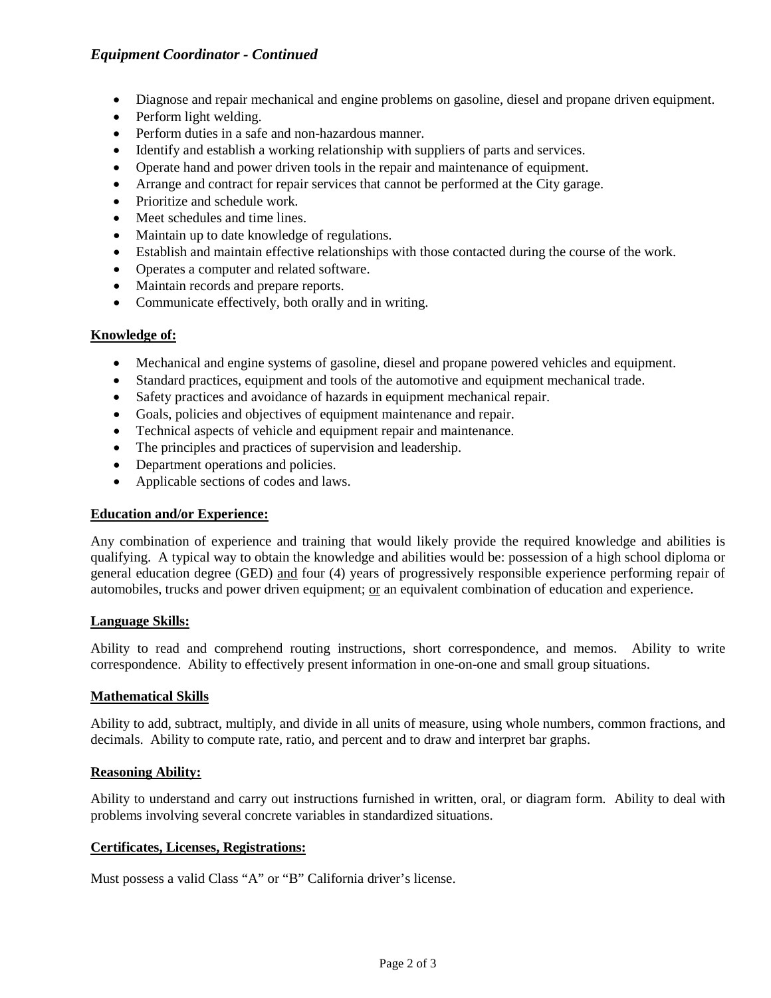## *Equipment Coordinator - Continued*

- Diagnose and repair mechanical and engine problems on gasoline, diesel and propane driven equipment.
- Perform light welding.
- Perform duties in a safe and non-hazardous manner.
- Identify and establish a working relationship with suppliers of parts and services.
- Operate hand and power driven tools in the repair and maintenance of equipment.
- Arrange and contract for repair services that cannot be performed at the City garage.
- Prioritize and schedule work.
- Meet schedules and time lines.
- Maintain up to date knowledge of regulations.
- Establish and maintain effective relationships with those contacted during the course of the work.
- Operates a computer and related software.
- Maintain records and prepare reports.
- Communicate effectively, both orally and in writing.

#### **Knowledge of:**

- Mechanical and engine systems of gasoline, diesel and propane powered vehicles and equipment.
- Standard practices, equipment and tools of the automotive and equipment mechanical trade.
- Safety practices and avoidance of hazards in equipment mechanical repair.
- Goals, policies and objectives of equipment maintenance and repair.
- Technical aspects of vehicle and equipment repair and maintenance.
- The principles and practices of supervision and leadership.
- Department operations and policies.
- Applicable sections of codes and laws.

## **Education and/or Experience:**

Any combination of experience and training that would likely provide the required knowledge and abilities is qualifying. A typical way to obtain the knowledge and abilities would be: possession of a high school diploma or general education degree (GED) and four (4) years of progressively responsible experience performing repair of automobiles, trucks and power driven equipment; or an equivalent combination of education and experience.

## **Language Skills:**

Ability to read and comprehend routing instructions, short correspondence, and memos. Ability to write correspondence. Ability to effectively present information in one-on-one and small group situations.

## **Mathematical Skills**

Ability to add, subtract, multiply, and divide in all units of measure, using whole numbers, common fractions, and decimals. Ability to compute rate, ratio, and percent and to draw and interpret bar graphs.

## **Reasoning Ability:**

Ability to understand and carry out instructions furnished in written, oral, or diagram form. Ability to deal with problems involving several concrete variables in standardized situations.

## **Certificates, Licenses, Registrations:**

Must possess a valid Class "A" or "B" California driver's license.